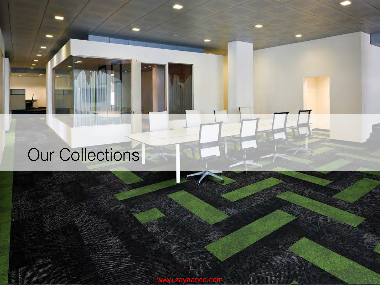## Our Collections

www.zayaanco.com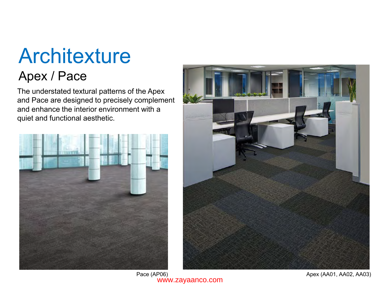# **Architexture**

### Apex / Pace

The understated textural patterns of the Apex and Pace are designed to precisely complement and enhance the interior environment with a quiet and functional aesthetic.



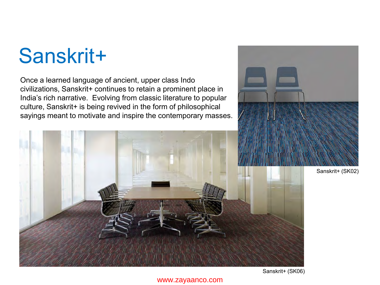## Sanskrit+

Once a learned language of ancient, upper class Indo civilizations, Sanskrit+ continues to retain a prominent place in India's rich narrative. Evolving from classic literature to popular culture, Sanskrit+ is being revived in the form of philosophical sayings meant to motivate and inspire the contemporary masses.



Sanskrit+ (SK02)

Sanskrit+ (SK06)

#### www.zayaanco.com